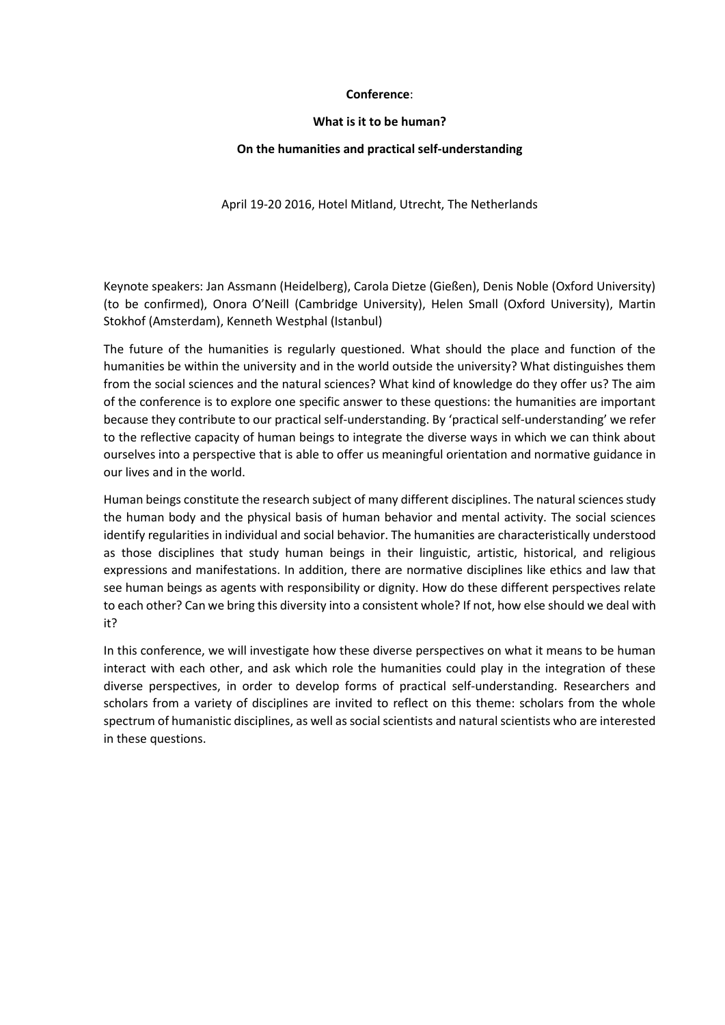### **Conference**:

### **What is it to be human?**

# **On the humanities and practical self-understanding**

April 19-20 2016, Hotel Mitland, Utrecht, The Netherlands

Keynote speakers: Jan Assmann (Heidelberg), Carola Dietze (Gießen), Denis Noble (Oxford University) (to be confirmed), Onora O'Neill (Cambridge University), Helen Small (Oxford University), Martin Stokhof (Amsterdam), Kenneth Westphal (Istanbul)

The future of the humanities is regularly questioned. What should the place and function of the humanities be within the university and in the world outside the university? What distinguishes them from the social sciences and the natural sciences? What kind of knowledge do they offer us? The aim of the conference is to explore one specific answer to these questions: the humanities are important because they contribute to our practical self-understanding. By 'practical self-understanding' we refer to the reflective capacity of human beings to integrate the diverse ways in which we can think about ourselves into a perspective that is able to offer us meaningful orientation and normative guidance in our lives and in the world.

Human beings constitute the research subject of many different disciplines. The natural sciences study the human body and the physical basis of human behavior and mental activity. The social sciences identify regularities in individual and social behavior. The humanities are characteristically understood as those disciplines that study human beings in their linguistic, artistic, historical, and religious expressions and manifestations. In addition, there are normative disciplines like ethics and law that see human beings as agents with responsibility or dignity. How do these different perspectives relate to each other? Can we bring this diversity into a consistent whole? If not, how else should we deal with it?

In this conference, we will investigate how these diverse perspectives on what it means to be human interact with each other, and ask which role the humanities could play in the integration of these diverse perspectives, in order to develop forms of practical self-understanding. Researchers and scholars from a variety of disciplines are invited to reflect on this theme: scholars from the whole spectrum of humanistic disciplines, as well as social scientists and natural scientists who are interested in these questions.